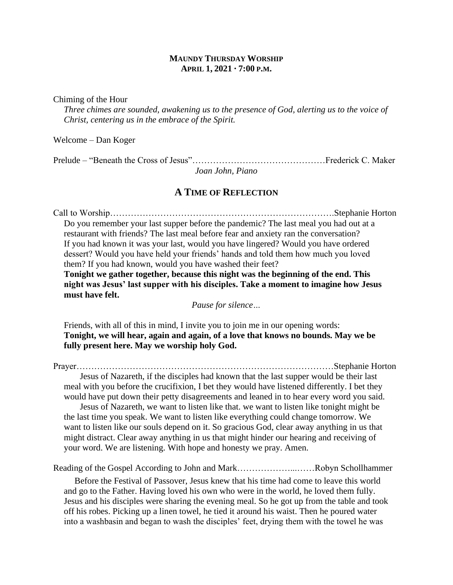#### **MAUNDY THURSDAY WORSHIP APRIL 1, 2021 7:00 P.M.**

Chiming of the Hour

*Three chimes are sounded, awakening us to the presence of God, alerting us to the voice of Christ, centering us in the embrace of the Spirit.*

Welcome – Dan Koger

Prelude – "Beneath the Cross of Jesus"………………………………………Frederick C. Maker *Joan John, Piano*

# **A TIME OF REFLECTION**

Call to Worship………………………………………………………………….Stephanie Horton Do you remember your last supper before the pandemic? The last meal you had out at a restaurant with friends? The last meal before fear and anxiety ran the conversation? If you had known it was your last, would you have lingered? Would you have ordered dessert? Would you have held your friends' hands and told them how much you loved them? If you had known, would you have washed their feet? **Tonight we gather together, because this night was the beginning of the end. This** 

**night was Jesus' last supper with his disciples. Take a moment to imagine how Jesus must have felt.**

*Pause for silence…*

Friends, with all of this in mind, I invite you to join me in our opening words: **Tonight, we will hear, again and again, of a love that knows no bounds. May we be fully present here. May we worship holy God.**

Prayer……………………………………………………………………………Stephanie Horton

Jesus of Nazareth, if the disciples had known that the last supper would be their last meal with you before the crucifixion, I bet they would have listened differently. I bet they would have put down their petty disagreements and leaned in to hear every word you said. Jesus of Nazareth, we want to listen like that. we want to listen like tonight might be the last time you speak. We want to listen like everything could change tomorrow. We want to listen like our souls depend on it. So gracious God, clear away anything in us that might distract. Clear away anything in us that might hinder our hearing and receiving of your word. We are listening. With hope and honesty we pray. Amen.

Reading of the Gospel According to John and Mark………………...……Robyn Schollhammer

Before the Festival of Passover, Jesus knew that his time had come to leave this world and go to the Father. Having loved his own who were in the world, he loved them fully. Jesus and his disciples were sharing the evening meal. So he got up from the table and took off his robes. Picking up a linen towel, he tied it around his waist. Then he poured water into a washbasin and began to wash the disciples' feet, drying them with the towel he was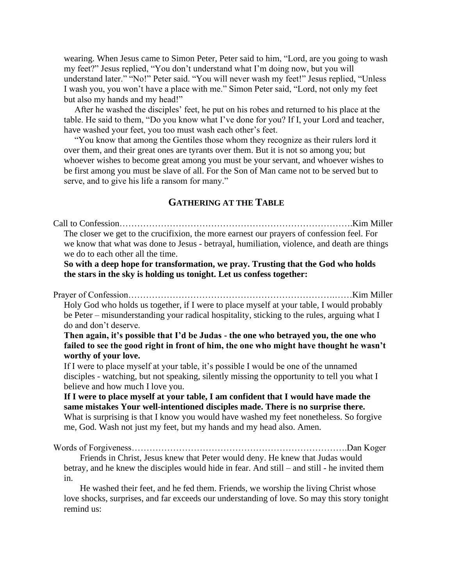wearing. When Jesus came to Simon Peter, Peter said to him, "Lord, are you going to wash my feet?" Jesus replied, "You don't understand what I'm doing now, but you will understand later." "No!" Peter said. "You will never wash my feet!" Jesus replied, "Unless I wash you, you won't have a place with me." Simon Peter said, "Lord, not only my feet but also my hands and my head!"

After he washed the disciples' feet, he put on his robes and returned to his place at the table. He said to them, "Do you know what I've done for you? If I, your Lord and teacher, have washed your feet, you too must wash each other's feet.

"You know that among the Gentiles those whom they recognize as their rulers lord it over them, and their great ones are tyrants over them. But it is not so among you; but whoever wishes to become great among you must be your servant, and whoever wishes to be first among you must be slave of all. For the Son of Man came not to be served but to serve, and to give his life a ransom for many."

# **GATHERING AT THE TABLE**

Call to Confession…………………………………………………………………….Kim Miller The closer we get to the crucifixion, the more earnest our prayers of confession feel. For we know that what was done to Jesus - betrayal, humiliation, violence, and death are things we do to each other all the time.

**So with a deep hope for transformation, we pray. Trusting that the God who holds the stars in the sky is holding us tonight. Let us confess together:**

Prayer of Confession…………………………………………………………….……Kim Miller Holy God who holds us together, if I were to place myself at your table, I would probably be Peter – misunderstanding your radical hospitality, sticking to the rules, arguing what I do and don't deserve.

**Then again, it's possible that I'd be Judas - the one who betrayed you, the one who failed to see the good right in front of him, the one who might have thought he wasn't worthy of your love.**

If I were to place myself at your table, it's possible I would be one of the unnamed disciples - watching, but not speaking, silently missing the opportunity to tell you what I believe and how much I love you.

**If I were to place myself at your table, I am confident that I would have made the same mistakes Your well-intentioned disciples made. There is no surprise there.** What is surprising is that I know you would have washed my feet nonetheless. So forgive me, God. Wash not just my feet, but my hands and my head also. Amen.

Words of Forgiveness……………………………………………………………….Dan Koger

Friends in Christ, Jesus knew that Peter would deny. He knew that Judas would betray, and he knew the disciples would hide in fear. And still – and still - he invited them in.

He washed their feet, and he fed them. Friends, we worship the living Christ whose love shocks, surprises, and far exceeds our understanding of love. So may this story tonight remind us: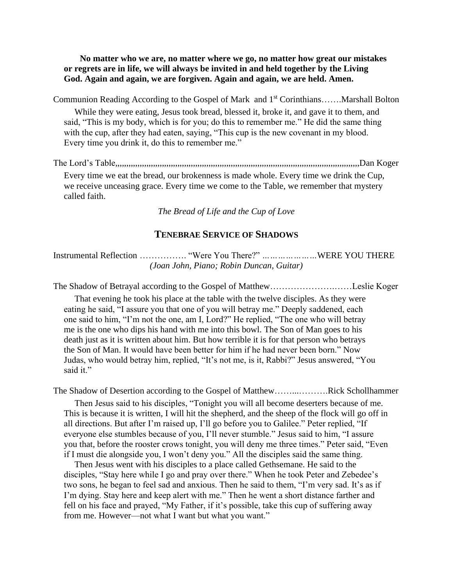# **No matter who we are, no matter where we go, no matter how great our mistakes or regrets are in life, we will always be invited in and held together by the Living God. Again and again, we are forgiven. Again and again, we are held. Amen.**

Communion Reading According to the Gospel of Mark and 1<sup>st</sup> Corinthians…….Marshall Bolton

While they were eating, Jesus took bread, blessed it, broke it, and gave it to them, and said, "This is my body, which is for you; do this to remember me." He did the same thing with the cup, after they had eaten, saying, "This cup is the new covenant in my blood. Every time you drink it, do this to remember me."

The Lord's Table,,,,,,,,,,,,,,,,,,,,,,,,,,,,,,,,,,,,,,,,,,,,,,,,,,,,,,,,,,,,,,,,,,,,,,,,,,,,,,,,,,,,,,,,,,,,,,,,,,,,,,,,,,,,,,Dan Koger Every time we eat the bread, our brokenness is made whole. Every time we drink the Cup, we receive unceasing grace. Every time we come to the Table, we remember that mystery called faith.

*The Bread of Life and the Cup of Love*

# **TENEBRAE SERVICE OF SHADOWS**

Instrumental Reflection ……………. "Were You There?" *…………………*WERE YOU THERE *(Joan John, Piano; Robin Duncan, Guitar)*

The Shadow of Betrayal according to the Gospel of Matthew………………….……Leslie Koger

That evening he took his place at the table with the twelve disciples. As they were eating he said, "I assure you that one of you will betray me." Deeply saddened, each one said to him, "I'm not the one, am I, Lord?" He replied, "The one who will betray me is the one who dips his hand with me into this bowl. The Son of Man goes to his death just as it is written about him. But how terrible it is for that person who betrays the Son of Man. It would have been better for him if he had never been born." Now Judas, who would betray him, replied, "It's not me, is it, Rabbi?" Jesus answered, "You said it."

The Shadow of Desertion according to the Gospel of Matthew……...……….Rick Schollhammer

Then Jesus said to his disciples, "Tonight you will all become deserters because of me. This is because it is written, I will hit the shepherd, and the sheep of the flock will go off in all directions. But after I'm raised up, I'll go before you to Galilee." Peter replied, "If everyone else stumbles because of you, I'll never stumble." Jesus said to him, "I assure you that, before the rooster crows tonight, you will deny me three times." Peter said, "Even if I must die alongside you, I won't deny you." All the disciples said the same thing.

Then Jesus went with his disciples to a place called Gethsemane. He said to the disciples, "Stay here while I go and pray over there." When he took Peter and Zebedee's two sons, he began to feel sad and anxious. Then he said to them, "I'm very sad. It's as if I'm dying. Stay here and keep alert with me." Then he went a short distance farther and fell on his face and prayed, "My Father, if it's possible, take this cup of suffering away from me. However—not what I want but what you want."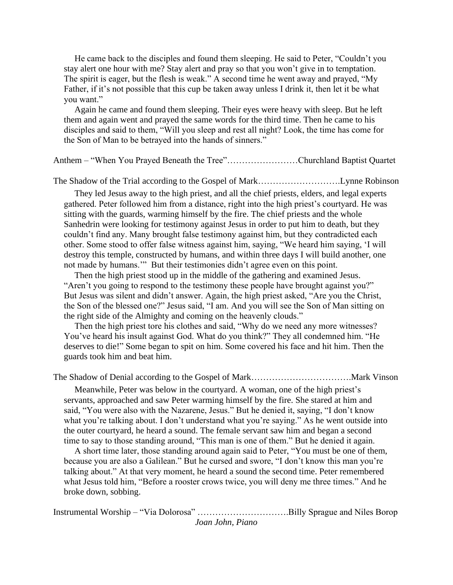He came back to the disciples and found them sleeping. He said to Peter, "Couldn't you stay alert one hour with me? Stay alert and pray so that you won't give in to temptation. The spirit is eager, but the flesh is weak." A second time he went away and prayed, "My Father, if it's not possible that this cup be taken away unless I drink it, then let it be what you want."

Again he came and found them sleeping. Their eyes were heavy with sleep. But he left them and again went and prayed the same words for the third time. Then he came to his disciples and said to them, "Will you sleep and rest all night? Look, the time has come for the Son of Man to be betrayed into the hands of sinners."

Anthem – "When You Prayed Beneath the Tree"……………………Churchland Baptist Quartet

The Shadow of the Trial according to the Gospel of Mark……………………….Lynne Robinson

They led Jesus away to the high priest, and all the chief priests, elders, and legal experts gathered. Peter followed him from a distance, right into the high priest's courtyard. He was sitting with the guards, warming himself by the fire. The chief priests and the whole Sanhedrin were looking for testimony against Jesus in order to put him to death, but they couldn't find any. Many brought false testimony against him, but they contradicted each other. Some stood to offer false witness against him, saying, "We heard him saying, 'I will destroy this temple, constructed by humans, and within three days I will build another, one not made by humans.'" But their testimonies didn't agree even on this point.

Then the high priest stood up in the middle of the gathering and examined Jesus. "Aren't you going to respond to the testimony these people have brought against you?" But Jesus was silent and didn't answer. Again, the high priest asked, "Are you the Christ, the Son of the blessed one?" Jesus said, "I am. And you will see the Son of Man sitting on the right side of the Almighty and coming on the heavenly clouds."

Then the high priest tore his clothes and said, "Why do we need any more witnesses? You've heard his insult against God. What do you think?" They all condemned him. "He deserves to die!" Some began to spit on him. Some covered his face and hit him. Then the guards took him and beat him.

The Shadow of Denial according to the Gospel of Mark…………………………….Mark Vinson

Meanwhile, Peter was below in the courtyard. A woman, one of the high priest's servants, approached and saw Peter warming himself by the fire. She stared at him and said, "You were also with the Nazarene, Jesus." But he denied it, saying, "I don't know what you're talking about. I don't understand what you're saying." As he went outside into the outer courtyard, he heard a sound. The female servant saw him and began a second time to say to those standing around, "This man is one of them." But he denied it again.

A short time later, those standing around again said to Peter, "You must be one of them, because you are also a Galilean." But he cursed and swore, "I don't know this man you're talking about." At that very moment, he heard a sound the second time. Peter remembered what Jesus told him, "Before a rooster crows twice, you will deny me three times." And he broke down, sobbing.

Instrumental Worship – "Via Dolorosa" ………………………….Billy Sprague and Niles Borop *Joan John, Piano*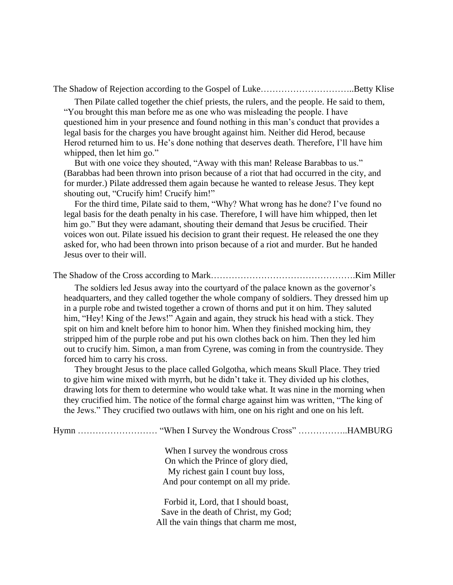The Shadow of Rejection according to the Gospel of Luke…………………………..Betty Klise

Then Pilate called together the chief priests, the rulers, and the people. He said to them, "You brought this man before me as one who was misleading the people. I have questioned him in your presence and found nothing in this man's conduct that provides a legal basis for the charges you have brought against him. Neither did Herod, because Herod returned him to us. He's done nothing that deserves death. Therefore, I'll have him whipped, then let him go."

But with one voice they shouted, "Away with this man! Release Barabbas to us." (Barabbas had been thrown into prison because of a riot that had occurred in the city, and for murder.) Pilate addressed them again because he wanted to release Jesus. They kept shouting out, "Crucify him! Crucify him!"

For the third time, Pilate said to them, "Why? What wrong has he done? I've found no legal basis for the death penalty in his case. Therefore, I will have him whipped, then let him go." But they were adamant, shouting their demand that Jesus be crucified. Their voices won out. Pilate issued his decision to grant their request. He released the one they asked for, who had been thrown into prison because of a riot and murder. But he handed Jesus over to their will.

The Shadow of the Cross according to Mark………………………………………….Kim Miller

The soldiers led Jesus away into the courtyard of the palace known as the governor's headquarters, and they called together the whole company of soldiers. They dressed him up in a purple robe and twisted together a crown of thorns and put it on him. They saluted him, "Hey! King of the Jews!" Again and again, they struck his head with a stick. They spit on him and knelt before him to honor him. When they finished mocking him, they stripped him of the purple robe and put his own clothes back on him. Then they led him out to crucify him. Simon, a man from Cyrene, was coming in from the countryside. They forced him to carry his cross.

They brought Jesus to the place called Golgotha, which means Skull Place. They tried to give him wine mixed with myrrh, but he didn't take it. They divided up his clothes, drawing lots for them to determine who would take what. It was nine in the morning when they crucified him. The notice of the formal charge against him was written, "The king of the Jews." They crucified two outlaws with him, one on his right and one on his left.

| . "When I Survey the Wondrous Cross" HAMBURG |  |
|----------------------------------------------|--|
|----------------------------------------------|--|

When I survey the wondrous cross On which the Prince of glory died, My richest gain I count buy loss, And pour contempt on all my pride.

Forbid it, Lord, that I should boast, Save in the death of Christ, my God; All the vain things that charm me most,